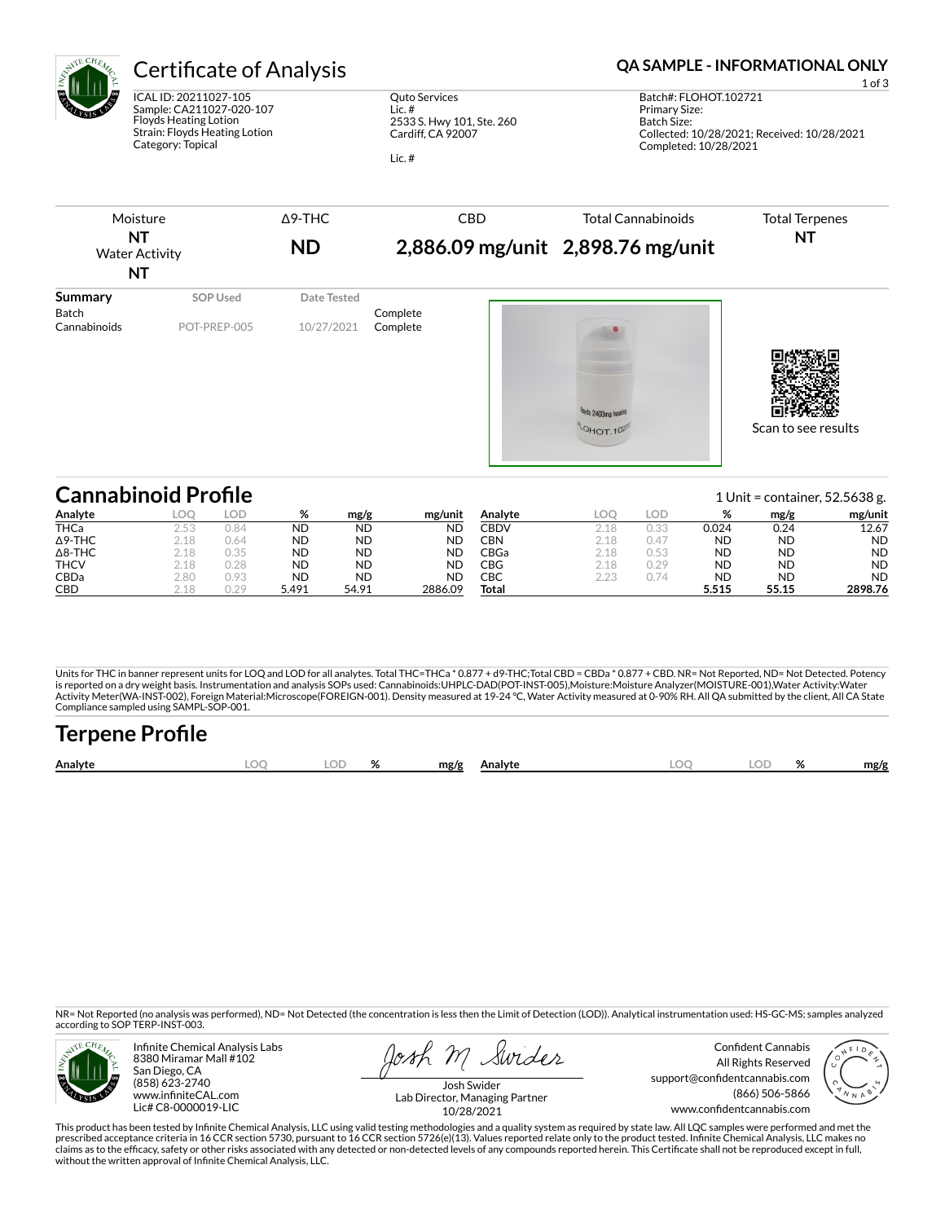

ICAL ID: 20211027-105 Sample: CA211027-020-107 Floyds Heating Lotion Strain: Floyds Heating Lotion Category: Topical

Quto Services Lic. # 2533 S. Hwy 101, Ste. 260 Cardiff, CA 92007

Lic. #

## Certificate of Analysis **Certificate of Analysis QA SAMPLE - INFORMATIONAL ONLY**

Batch Size:

Completed: 10/28/2021

Δ9-THC CBD Total Cannabinoids Moisture Total Terpenes **NT NT 2,886.09 mg/unit 2,898.76 mg/unit ND** Water Activity **NT Summary SOP Used** Date Tested Batch Complete<br>Cannabinoids POT-PREP-005 10/27/2021 Complete Cannabinoids POT-PREP-005 10/27/2021 Complete wds 2400mn heatin OHOT. 1027 Scan to see results

| <b>Cannabinoid Profile</b> |      |      |           |           |           | 1 Unit = container, $52.5638$ g. |      |      |           |           |           |  |
|----------------------------|------|------|-----------|-----------|-----------|----------------------------------|------|------|-----------|-----------|-----------|--|
| Analyte                    | LOO  | LOD  | %         | mg/g      | mg/unit   | Analyte                          |      | LOD  | %         | mg/g      | mg/unit   |  |
| <b>THCa</b>                | 2.53 | 0.84 | <b>ND</b> | <b>ND</b> | <b>ND</b> | <b>CBDV</b>                      | 2.18 | 0.33 | 0.024     | 0.24      | 12.67     |  |
| $\Delta$ 9-THC             | 2.18 | 0.64 | <b>ND</b> | <b>ND</b> | <b>ND</b> | CBN                              | 2.18 | 0.47 | <b>ND</b> | <b>ND</b> | <b>ND</b> |  |
| $\Delta$ 8-THC             | 2.18 | 0.35 | <b>ND</b> | <b>ND</b> | ND        | CBGa                             | 2.18 | 0.53 | <b>ND</b> | <b>ND</b> | <b>ND</b> |  |
| <b>THCV</b>                | 2.18 | 0.28 | <b>ND</b> | <b>ND</b> | <b>ND</b> | CBG                              | 2.18 | 0.29 | <b>ND</b> | <b>ND</b> | <b>ND</b> |  |
| CBDa                       | 2.80 | 0.93 | <b>ND</b> | <b>ND</b> | <b>ND</b> | CBC                              | 2.23 | 0.74 | <b>ND</b> | <b>ND</b> | <b>ND</b> |  |
| <b>CBD</b>                 | 2.18 | 0.29 | 5.491     | 54.91     | 2886.09   | Total                            |      |      | 5.515     | 55.15     | 2898.76   |  |

Units for THC in banner represent units for LOQ and LOD for all analytes. Total THC=THCa \* 0.877 + d9-THC;Total CBD = CBDa \* 0.877 + CBD. NR= Not Reported, ND= Not Detected. Potency<br>is reported on a dry weight basis. Instr Activity Meter(WA-INST-002), Foreign Material:Microscope(FOREIGN-001). Density measured at 19-24 °C, Water Activity measured at 0-90% RH. All QA submitted by the client, All CA State Compliance sampled using SAMPL-SOP-001.

| <b>Terpene Profile</b> |    |   |      |         |     |  |      |
|------------------------|----|---|------|---------|-----|--|------|
| Analyte                | ΩD | ℅ | mg/g | Analyte | LOC |  | mg/g |

NR= Not Reported (no analysis was performed), ND= Not Detected (the concentration is less then the Limit of Detection (LOD)). Analytical instrumentation used: HS-GC-MS; samples analyzed according to SOP TERP-INST-003.



Infinite Chemical Analysis Labs 8380 Miramar Mall #102 San Diego, CA (858) 623-2740 www.infiniteCAL.com Lic# C8-0000019-LIC

osh m Swider

Confident Cannabis All Rights Reserved support@confidentcannabis.com (866) 506-5866 www.confidentcannabis.com



Josh Swider Lab Director, Managing Partner 10/28/2021

This product has been tested by Infinite Chemical Analysis, LLC using valid testing methodologies and a quality system as required by state law. All LQC samples were performed and met the prescribed acceptance criteria in 16 CCR section 5730, pursuant to 16 CCR section 5726(e)(13). Values reported relate only to the product tested. Infinite Chemical Analysis, LLC makes no<br>claims as to the efficacy, safety o without the written approval of Infinite Chemical Analysis, LLC.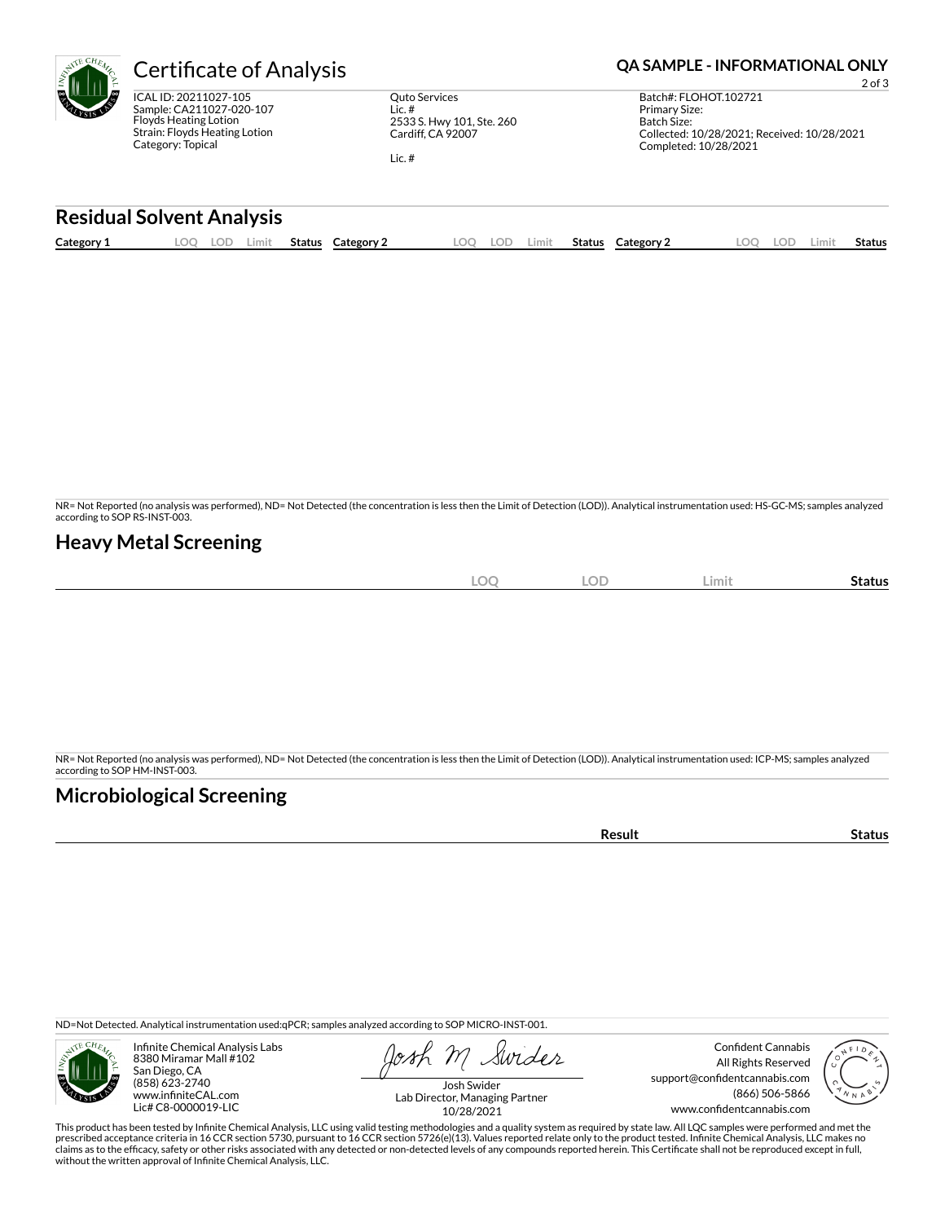ICAL ID: 20211027-105 Sample: CA211027-020-107 Floyds Heating Lotion Strain: Floyds Heating Lotion Category: Topical

Quto Services Lic. # 2533 S. Hwy 101, Ste. 260 Cardiff, CA 92007

Lic. #

# **Certificate of Analysis <b>Certificate of Analysis QA SAMPLE - INFORMATIONAL ONLY**

2 of 3 Batch#: FLOHOT.102721 Primary Size: Batch Size: Collected: 10/28/2021; Received: 10/28/2021 Completed: 10/28/2021

### **Residual Solvent Analysis**

|  | Category: | $-$<br>.UI | Limit | Status | Category | OC | LOD | Limit | Status | Category $\angle$ | $\sim$ | LOD. | Limi | . .<br>Status |
|--|-----------|------------|-------|--------|----------|----|-----|-------|--------|-------------------|--------|------|------|---------------|
|--|-----------|------------|-------|--------|----------|----|-----|-------|--------|-------------------|--------|------|------|---------------|

NR= Not Reported (no analysis was performed), ND= Not Detected (the concentration is less then the Limit of Detection (LOD)). Analytical instrumentation used: HS-GC-MS; samples analyzed according to SOP RS-INST-003.

### **Heavy Metal Screening**

| $\Omega$<br>∽<br>$\tilde{\phantom{a}}$ | <b>LOD</b> | Limit | -<br>Status |
|----------------------------------------|------------|-------|-------------|
|                                        |            |       |             |

NR= Not Reported (no analysis was performed), ND= Not Detected (the concentration is less then the Limit of Detection (LOD)). Analytical instrumentation used: ICP-MS; samples analyzed according to SOP HM-INST-003.

### **Microbiological Screening**

**Result Status** 

ND=Not Detected. Analytical instrumentation used:qPCR; samples analyzed according to SOP MICRO-INST-001.



Infinite Chemical Analysis Labs 8380 Miramar Mall #102 San Diego, CA (858) 623-2740 www.infiniteCAL.com Lic# C8-0000019-LIC

Swider

Confident Cannabis All Rights Reserved support@confidentcannabis.com (866) 506-5866 www.confidentcannabis.com



Josh Swider Lab Director, Managing Partner 10/28/2021

This product has been tested by Infinite Chemical Analysis, LLC using valid testing methodologies and a quality system as required by state law. All LQC samples were performed and met the prescribed acceptance criteria in 16 CCR section 5730, pursuant to 16 CCR section 5726(e)(13). Values reported relate only to the product tested. Infinite Chemical Analysis, LLC makes no<br>claims as to the efficacy, safety o without the written approval of Infinite Chemical Analysis, LLC.